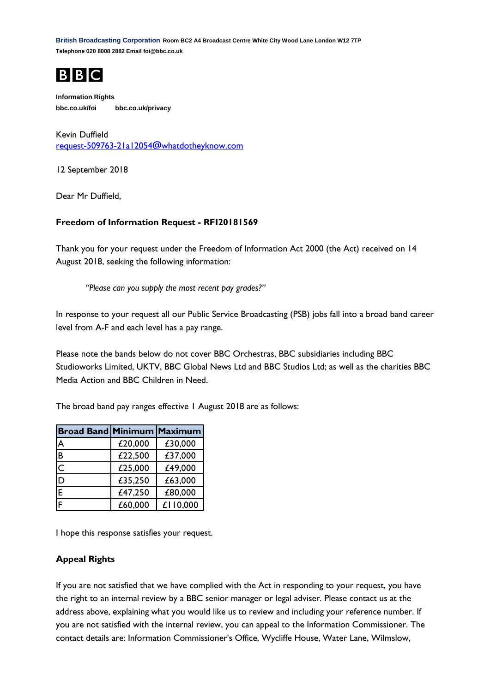**British Broadcasting Corporation Room BC2 A4 Broadcast Centre White City Wood Lane London W12 7TP Telephone 020 8008 2882 Email foi@bbc.co.uk**



**Information Rights bbc.co.uk/foi bbc.co.uk/privacy**

Kevin Duffield [request-509763-21a12054@whatdotheyknow.com](mailto:xxxxxxxxxxxxxxxxxxxxxxx@xxxxxxxxxxxxxx.xxx)

12 September 2018

Dear Mr Duffield,

## **Freedom of Information Request - RFI20181569**

Thank you for your request under the Freedom of Information Act 2000 (the Act) received on 14 August 2018, seeking the following information:

*"Please can you supply the most recent pay grades?"*

In response to your request all our Public Service Broadcasting (PSB) jobs fall into a broad band career level from A-F and each level has a pay range.

Please note the bands below do not cover BBC Orchestras, BBC subsidiaries including BBC Studioworks Limited, UKTV, BBC Global News Ltd and BBC Studios Ltd; as well as the charities BBC Media Action and BBC Children in Need.

The broad band pay ranges effective 1 August 2018 are as follows:

| <b>Broad Band Minimum Maximum</b> |         |          |
|-----------------------------------|---------|----------|
| A                                 | £20,000 | £30,000  |
| B                                 | £22,500 | £37,000  |
| $\bar{c}$                         | £25,000 | £49,000  |
| D                                 | £35,250 | £63,000  |
| E                                 | £47,250 | £80,000  |
| F                                 | £60,000 | £110,000 |

I hope this response satisfies your request.

## **Appeal Rights**

If you are not satisfied that we have complied with the Act in responding to your request, you have the right to an internal review by a BBC senior manager or legal adviser. Please contact us at the address above, explaining what you would like us to review and including your reference number. If you are not satisfied with the internal review, you can appeal to the Information Commissioner. The contact details are: Information Commissioner's Office, Wycliffe House, Water Lane, Wilmslow,